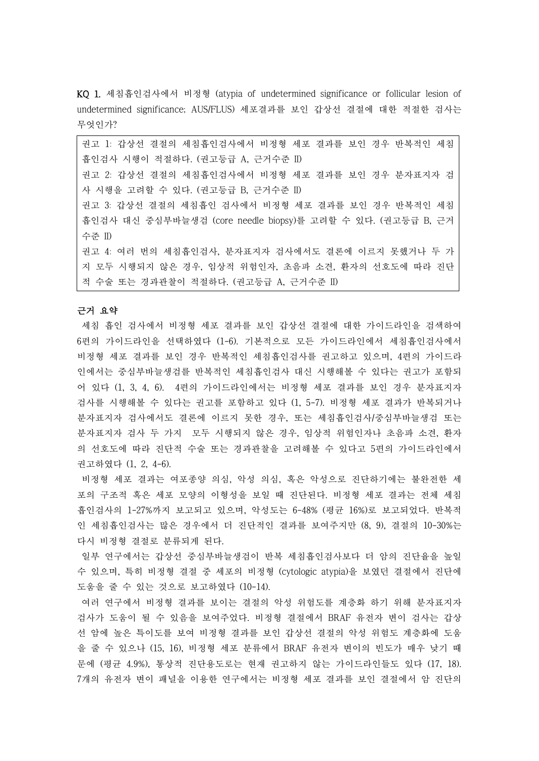KQ 1. 세침흡인검사에서 비정형 (atypia of undetermined significance or follicular lesion of undetermined significance; AUS/FLUS) 세포결과를 보인 갑상선 결절에 대한 적절한 검사는 무엇인가?

권고 1: 갑상선 결절의 세침흡인검사에서 비정형 세포 결과를 보인 경우 반복적인 세침 흡인검사 시행이 적절하다. (권고등급 A, 근거수준 II) 권고 2: 갑상선 결절의 세침흡인검사에서 비정형 세포 결과를 보인 경우 분자표지자 검 사 시행을 고려할 수 있다. (권고등급 B, 근거수준 II) 권고 3: 갑상선 결절의 세침흡인 검사에서 비정형 세포 결과를 보인 경우 반복적인 세침 흡인검사 대신 중심부바늘생검 (core needle biopsy)를 고려할 수 있다. (권고등급 B, 근거 수준 II) 권고 4: 여러 번의 세침흡인검사, 분자표지자 검사에서도 결론에 이르지 못했거나 두 가 지 모두 시행되지 않은 경우, 임상적 위험인자, 초음파 소견, 환자의 선호도에 따라 진단

적 수술 또는 경과관찰이 적절하다. (권고등급 A, 근거수준 II)

# 근거 요약

세침 흡인 검사에서 비정형 세포 결과를 보인 갑상선 결절에 대한 가이드라인을 검색하여 6편의 가이드라인을 선택하였다 (1-6). 기본적으로 모든 가이드라인에서 세침흡인검사에서 비정형 세포 결과를 보인 경우 반복적인 세침흡인검사를 권고하고 있으며, 4편의 가이드라 인에서는 중심부바늘생검를 반복적인 세침흡인검사 대신 시행해볼 수 있다는 권고가 포함되 어 있다 (1, 3, 4, 6). 4편의 가이드라인에서는 비정형 세포 결과를 보인 경우 분자표지자 검사를 시행해볼 수 있다는 권고를 포함하고 있다 (1, 5-7). 비정형 세포 결과가 반복되거나 분자표지자 검사에서도 결론에 이르지 못한 경우, 또는 세침흡인검사/중심부바늘생검 또는 분자표지자 검사 두 가지 모두 시행되지 않은 경우, 임상적 위험인자나 초음파 소견, 환자 의 선호도에 따라 진단적 수술 또는 경과관찰을 고려해볼 수 있다고 5편의 가이드라인에서 권고하였다 (1, 2, 4-6).

비정형 세포 결과는 여포종양 의심, 악성 의심, 혹은 악성으로 진단하기에는 불완전한 세 포의 구조적 혹은 세포 모양의 이형성을 보일 때 진단된다. 비정형 세포 결과는 전체 세침 흡인검사의 1-27%까지 보고되고 있으며, 악성도는 6-48% (평균 16%)로 보고되었다. 반복적 인 세침흡인검사는 많은 경우에서 더 진단적인 결과를 보여주지만 (8, 9), 결절의 10-30%는 다시 비정형 결절로 분류되게 된다.<br>일부 연구에서는 갑상선 중심부바늘생검이 반복 세침흡인검사보다 더 암의 진단율을 높일

수 있으며, 특히 비정형 결절 중 세포의 비정형 (cytologic atypia)을 보였던 결절에서 진단에 도움을 줄 수 있는 것으로 보고하였다 (10-14).

여러 연구에서 비정형 결과를 보이는 결절의 악성 위험도를 계층화 하기 위해 분자표지자 검사가 도움이 될 수 있음을 보여주었다. 비정형 결절에서 BRAF 유전자 변이 검사는 갑상 선 암에 높은 특이도를 보여 비정형 결과를 보인 갑상선 결절의 악성 위험도 계층화에 도움 을 줄 수 있으나 (15, 16), 비정형 세포 분류에서 BRAF 유전자 변이의 빈도가 매우 낮기 때 문에 (평균 4.9%), 통상적 진단용도로는 현재 권고하지 않는 가이드라인들도 있다 (17, 18). 7개의 유전자 변이 패널을 이용한 연구에서는 비정형 세포 결과를 보인 결절에서 암 진단의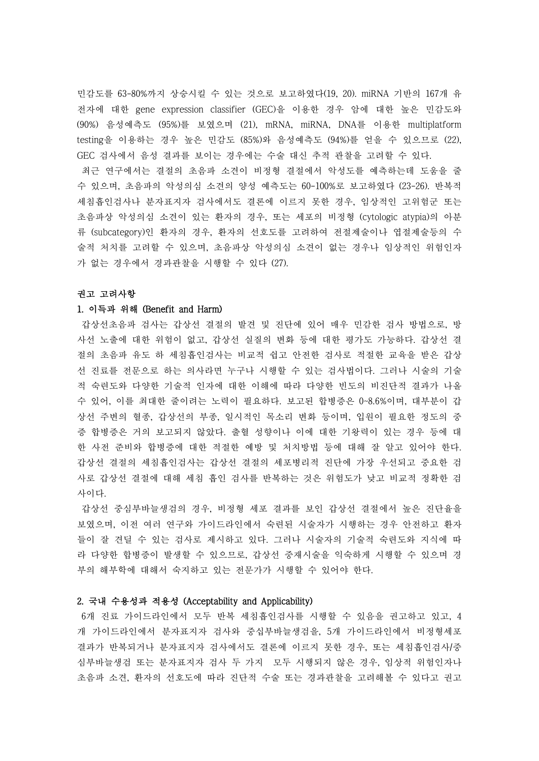민감도를 63-80%까지 상승시킬 수 있는 것으로 보고하였다(19, 20). miRNA 기반의 167개 유 전자에 대한 gene expression classifier (GEC)을 이용한 경우 암에 대한 높은 민감도와 (90%) 음성예측도 (95%)를 보였으며 (21), mRNA, miRNA, DNA를 이용한 multiplatform testing을 이용하는 경우 높은 민감도 (85%)와 음성예측도 (94%)를 얻을 수 있으므로 (22), GEC 검사에서 음성 결과를 보이는 경우에는 수술 대신 추적 관찰을 고려할 수 있다.

최근 연구에서는 결절의 초음파 소견이 비정형 결절에서 악성도를 예측하는데 도움을 줄 수 있으며, 초음파의 악성의심 소견의 양성 예측도는 60-100%로 보고하였다 (23-26). 반복적 세침흡인검사나 분자표지자 검사에서도 결론에 이르지 못한 경우, 임상적인 고위험군 또는 초음파상 악성의심 소견이 있는 환자의 경우, 또는 세포의 비정형 (cytologic atypia)의 아분 류 (subcategory)인 환자의 경우, 환자의 선호도를 고려하여 전절제술이나 엽절제술등의 수 술적 처치를 고려할 수 있으며, 초음파상 악성의심 소견이 없는 경우나 임상적인 위험인자 가 없는 경우에서 경과관찰을 시행할 수 있다 (27).

#### 권고 고려사항

#### 1. 이득과 위해 (Benefit and Harm)

갑상선초음파 검사는 갑상선 결절의 발견 및 진단에 있어 매우 민감한 검사 방법으로, 방 사선 노출에 대한 위험이 없고, 갑상선 실질의 변화 등에 대한 평가도 가능하다. 갑상선 결 절의 초음파 유도 하 세침흡인검사는 비교적 쉽고 안전한 검사로 적절한 교육을 받은 갑상 선 진료를 전문으로 하는 의사라면 누구나 시행할 수 있는 검사법이다. 그러나 시술의 기술 적 숙련도와 다양한 기술적 인자에 대한 이해에 따라 다양한 빈도의 비진단적 결과가 나올 수 있어, 이를 최대한 줄이려는 노력이 필요하다. 보고된 합병증은 0~8.6%이며, 대부분이 갑 상선 주변의 혈종, 갑상선의 부종, 일시적인 목소리 변화 등이며, 입원이 필요한 정도의 중 증 합병증은 거의 보고되지 않았다. 출혈 성향이나 이에 대한 기왕력이 있는 경우 등에 대 한 사전 준비와 합병증에 대한 적절한 예방 및 처치방법 등에 대해 잘 알고 있어야 한다.<br>갑상선 결절의 세침흡인검사는 갑상선 결절의 세포병리적 진단에 가장 우선되고 중요한 검 사로 갑상선 결절에 대해 세침 흡인 검사를 반복하는 것은 위험도가 낮고 비교적 정확한 검 사이다.<br>갑상선 중심부바늘생검의 경우, 비정형 세포 결과를 보인 갑상선 결절에서 높은 진단율을

보였으며, 이전 여러 연구와 가이드라인에서 숙련된 시술자가 시행하는 경우 안전하고 환자 들이 잘 견딜 수 있는 검사로 제시하고 있다. 그러나 시술자의 기술적 숙련도와 지식에 따 라 다양한 합병증이 발생할 수 있으므로, 갑상선 중재시술을 익숙하게 시행할 수 있으며 경 부의 해부학에 대해서 숙지하고 있는 전문가가 시행할 수 있어야 한다.

### 2. 국내 수용성과 적용성 (Acceptability and Applicability)

6개 진료 가이드라인에서 모두 반복 세침흡인검사를 시행할 수 있음을 권고하고 있고, 4 개 가이드라인에서 분자표지자 검사와 중십부바늘생검을, 5개 가이드라인에서 비정형세포 결과가 반복되거나 분자표지자 검사에서도 결론에 이르지 못한 경우, 또는 세침흡인검사/중 심부바늘생검 또는 분자표지자 검사 두 가지 모두 시행되지 않은 경우, 임상적 위험인자나 초음파 소견, 환자의 선호도에 따라 진단적 수술 또는 경과관찰을 고려해볼 수 있다고 권고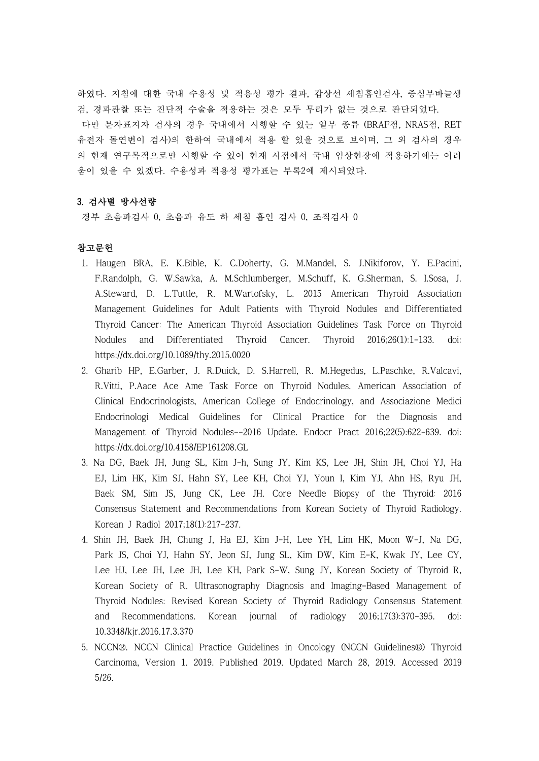하였다. 지침에 대한 국내 수용성 및 적용성 평가 결과, 갑상선 세침흡인검사, 중심부바늘생 검, 경과관찰 또는 진단적 수술을 적용하는 것은 모두 무리가 없는 것으로 판단되었다.<br>- 다만 분자표지자 검사의 경우 국내에서 시행할 수 있는 일부 종류 (BRAF점, NRAS점, RET 유전자 돌연변이 검사)의 한하여 국내에서 적용 할 있을 것으로 보이며, 그 외 검사의 경우 의 현재 연구목적으로만 시행할 수 있어 현재 시점에서 국내 임상현장에 적용하기에는 어려 움이 있을 수 있겠다. 수용성과 적용성 평가표는 부록2에 제시되었다.

# 3. 검사별 방사선량

경부 초음파검사 0, 초음파 유도 하 세침 흡인 검사 0, 조직검사 0

# 참고문헌

- 1. Haugen BRA, E. K.Bible, K. C.Doherty, G. M.Mandel, S. J.Nikiforov, Y. E.Pacini, F.Randolph, G. W.Sawka, A. M.Schlumberger, M.Schuff, K. G.Sherman, S. I.Sosa, J. A.Steward, D. L.Tuttle, R. M.Wartofsky, L. 2015 American Thyroid Association Management Guidelines for Adult Patients with Thyroid Nodules and Differentiated Thyroid Cancer: The American Thyroid Association Guidelines Task Force on Thyroid Nodules and Differentiated Thyroid Cancer. Thyroid 2016;26(1):1-133. doi: https://dx.doi.org/10.1089/thy.2015.0020
- 2. Gharib HP, E.Garber, J. R.Duick, D. S.Harrell, R. M.Hegedus, L.Paschke, R.Valcavi, R.Vitti, P.Aace Ace Ame Task Force on Thyroid Nodules. American Association of Clinical Endocrinologists, American College of Endocrinology, and Associazione Medici Endocrinologi Medical Guidelines for Clinical Practice for the Diagnosis and Management of Thyroid Nodules--2016 Update. Endocr Pract 2016;22(5):622-639. doi: https://dx.doi.org/10.4158/EP161208.GL
- 3. Na DG, Baek JH, Jung SL, Kim J-h, Sung JY, Kim KS, Lee JH, Shin JH, Choi YJ, Ha EJ, Lim HK, Kim SJ, Hahn SY, Lee KH, Choi YJ, Youn I, Kim YJ, Ahn HS, Ryu JH, Baek SM, Sim JS, Jung CK, Lee JH. Core Needle Biopsy of the Thyroid: 2016 Consensus Statement and Recommendations from Korean Society of Thyroid Radiology. Korean J Radiol 2017;18(1):217-237.
- 4. Shin JH, Baek JH, Chung J, Ha EJ, Kim J-H, Lee YH, Lim HK, Moon W-J, Na DG, Park JS, Choi YJ, Hahn SY, Jeon SJ, Jung SL, Kim DW, Kim E-K, Kwak JY, Lee CY, Lee HJ, Lee JH, Lee JH, Lee KH, Park S-W, Sung JY, Korean Society of Thyroid R, Korean Society of R. Ultrasonography Diagnosis and Imaging-Based Management of Thyroid Nodules: Revised Korean Society of Thyroid Radiology Consensus Statement and Recommendations. Korean journal of radiology 2016;17(3):370-395. doi: 10.3348/kjr.2016.17.3.370
- 5. NCCN®. NCCN Clinical Practice Guidelines in Oncology (NCCN Guidelines®) Thyroid Carcinoma, Version 1. 2019. Published 2019. Updated March 28, 2019. Accessed 2019 5/26.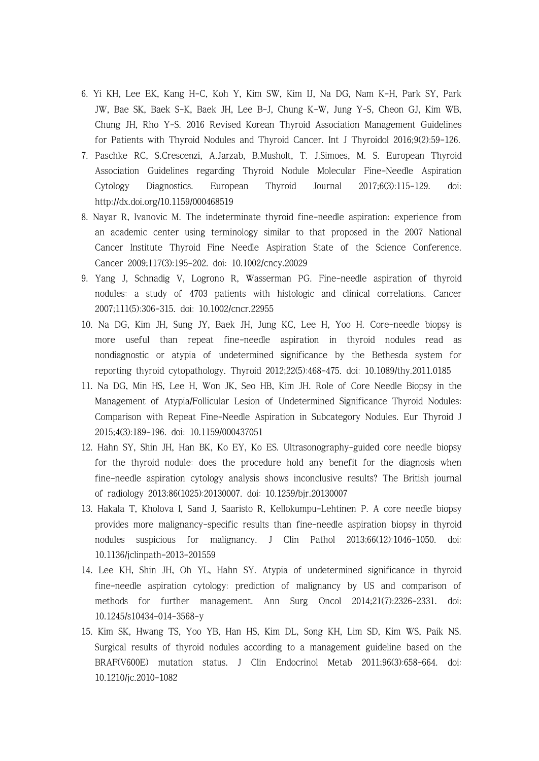- 6. Yi KH, Lee EK, Kang H-C, Koh Y, Kim SW, Kim IJ, Na DG, Nam K-H, Park SY, Park JW, Bae SK, Baek S-K, Baek JH, Lee B-J, Chung K-W, Jung Y-S, Cheon GJ, Kim WB, Chung JH, Rho Y-S. 2016 Revised Korean Thyroid Association Management Guidelines for Patients with Thyroid Nodules and Thyroid Cancer. Int J Thyroidol 2016;9(2):59-126.
- 7. Paschke RC, S.Crescenzi, A.Jarzab, B.Musholt, T. J.Simoes, M. S. European Thyroid Association Guidelines regarding Thyroid Nodule Molecular Fine-Needle Aspiration Cytology Diagnostics. European Thyroid Journal 2017;6(3):115-129. doi: http://dx.doi.org/10.1159/000468519
- 8. Nayar R, Ivanovic M. The indeterminate thyroid fine-needle aspiration: experience from an academic center using terminology similar to that proposed in the 2007 National Cancer Institute Thyroid Fine Needle Aspiration State of the Science Conference. Cancer 2009;117(3):195-202. doi: 10.1002/cncy.20029
- 9. Yang J, Schnadig V, Logrono R, Wasserman PG. Fine-needle aspiration of thyroid nodules: a study of 4703 patients with histologic and clinical correlations. Cancer 2007;111(5):306-315. doi: 10.1002/cncr.22955
- 10. Na DG, Kim JH, Sung JY, Baek JH, Jung KC, Lee H, Yoo H. Core-needle biopsy is more useful than repeat fine-needle aspiration in thyroid nodules read as nondiagnostic or atypia of undetermined significance by the Bethesda system for reporting thyroid cytopathology. Thyroid 2012;22(5):468-475. doi: 10.1089/thy.2011.0185
- 11. Na DG, Min HS, Lee H, Won JK, Seo HB, Kim JH. Role of Core Needle Biopsy in the Management of Atypia/Follicular Lesion of Undetermined Significance Thyroid Nodules: Comparison with Repeat Fine-Needle Aspiration in Subcategory Nodules. Eur Thyroid J 2015;4(3):189-196. doi: 10.1159/000437051
- 12. Hahn SY, Shin JH, Han BK, Ko EY, Ko ES. Ultrasonography-guided core needle biopsy for the thyroid nodule: does the procedure hold any benefit for the diagnosis when fine-needle aspiration cytology analysis shows inconclusive results? The British journal of radiology 2013;86(1025):20130007. doi: 10.1259/bjr.20130007
- 13. Hakala T, Kholova I, Sand J, Saaristo R, Kellokumpu-Lehtinen P. A core needle biopsy provides more malignancy-specific results than fine-needle aspiration biopsy in thyroid nodules suspicious for malignancy. J Clin Pathol 2013;66(12):1046-1050. doi: 10.1136/jclinpath-2013-201559
- 14. Lee KH, Shin JH, Oh YL, Hahn SY. Atypia of undetermined significance in thyroid fine-needle aspiration cytology: prediction of malignancy by US and comparison of methods for further management. Ann Surg Oncol 2014;21(7):2326-2331. doi: 10.1245/s10434-014-3568-y
- 15. Kim SK, Hwang TS, Yoo YB, Han HS, Kim DL, Song KH, Lim SD, Kim WS, Paik NS. Surgical results of thyroid nodules according to a management guideline based on the BRAF(V600E) mutation status. J Clin Endocrinol Metab 2011;96(3):658-664. doi: 10.1210/jc.2010-1082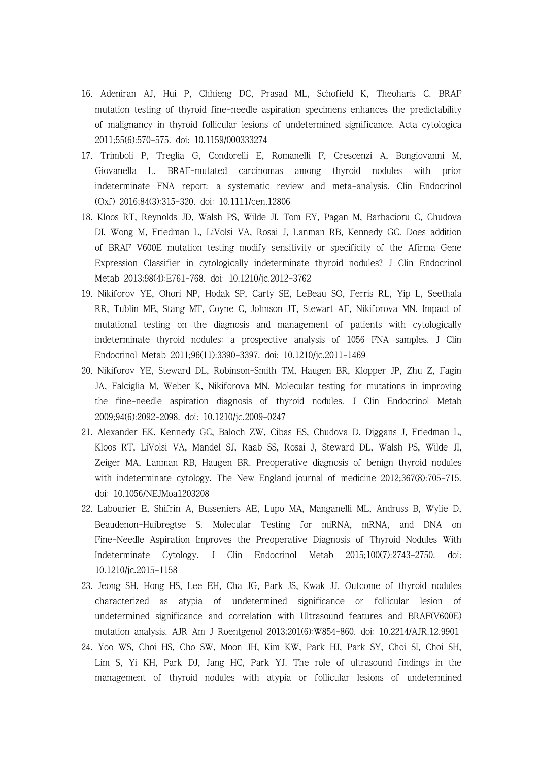- 16. Adeniran AJ, Hui P, Chhieng DC, Prasad ML, Schofield K, Theoharis C. BRAF mutation testing of thyroid fine-needle aspiration specimens enhances the predictability of malignancy in thyroid follicular lesions of undetermined significance. Acta cytologica 2011;55(6):570-575. doi: 10.1159/000333274
- 17. Trimboli P, Treglia G, Condorelli E, Romanelli F, Crescenzi A, Bongiovanni M, Giovanella L. BRAF-mutated carcinomas among thyroid nodules with prior indeterminate FNA report: a systematic review and meta-analysis. Clin Endocrinol (Oxf) 2016;84(3):315-320. doi: 10.1111/cen.12806
- 18. Kloos RT, Reynolds JD, Walsh PS, Wilde JI, Tom EY, Pagan M, Barbacioru C, Chudova DI, Wong M, Friedman L, LiVolsi VA, Rosai J, Lanman RB, Kennedy GC. Does addition of BRAF V600E mutation testing modify sensitivity or specificity of the Afirma Gene Expression Classifier in cytologically indeterminate thyroid nodules? J Clin Endocrinol Metab 2013;98(4):E761-768. doi: 10.1210/jc.2012-3762
- 19. Nikiforov YE, Ohori NP, Hodak SP, Carty SE, LeBeau SO, Ferris RL, Yip L, Seethala RR, Tublin ME, Stang MT, Coyne C, Johnson JT, Stewart AF, Nikiforova MN. Impact of mutational testing on the diagnosis and management of patients with cytologically indeterminate thyroid nodules: a prospective analysis of 1056 FNA samples. J Clin Endocrinol Metab 2011;96(11):3390-3397. doi: 10.1210/jc.2011-1469
- 20. Nikiforov YE, Steward DL, Robinson-Smith TM, Haugen BR, Klopper JP, Zhu Z, Fagin JA, Falciglia M, Weber K, Nikiforova MN. Molecular testing for mutations in improving the fine-needle aspiration diagnosis of thyroid nodules. J Clin Endocrinol Metab 2009;94(6):2092-2098. doi: 10.1210/jc.2009-0247
- 21. Alexander EK, Kennedy GC, Baloch ZW, Cibas ES, Chudova D, Diggans J, Friedman L, Kloos RT, LiVolsi VA, Mandel SJ, Raab SS, Rosai J, Steward DL, Walsh PS, Wilde JI, Zeiger MA, Lanman RB, Haugen BR. Preoperative diagnosis of benign thyroid nodules with indeterminate cytology. The New England journal of medicine 2012;367(8):705-715. doi: 10.1056/NEJMoa1203208
- 22. Labourier E, Shifrin A, Busseniers AE, Lupo MA, Manganelli ML, Andruss B, Wylie D, Beaudenon-Huibregtse S. Molecular Testing for miRNA, mRNA, and DNA on Fine-Needle Aspiration Improves the Preoperative Diagnosis of Thyroid Nodules With Indeterminate Cytology. J Clin Endocrinol Metab 2015;100(7):2743-2750. doi: 10.1210/jc.2015-1158
- 23. Jeong SH, Hong HS, Lee EH, Cha JG, Park JS, Kwak JJ. Outcome of thyroid nodules characterized as atypia of undetermined significance or follicular lesion of undetermined significance and correlation with Ultrasound features and BRAF(V600E) mutation analysis. AJR Am J Roentgenol 2013;201(6):W854-860. doi: 10.2214/AJR.12.9901
- 24. Yoo WS, Choi HS, Cho SW, Moon JH, Kim KW, Park HJ, Park SY, Choi SI, Choi SH, Lim S, Yi KH, Park DJ, Jang HC, Park YJ. The role of ultrasound findings in the management of thyroid nodules with atypia or follicular lesions of undetermined